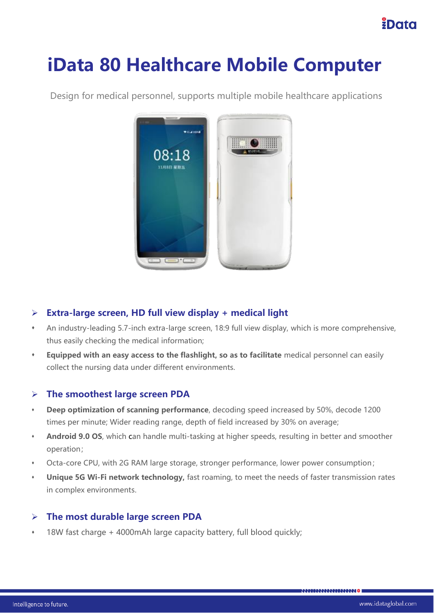## EData

# **iData 80 Healthcare Mobile Computer**



Design for medical personnel, supports multiple mobile healthcare applications

#### ➢ **Extra-large screen, HD full view display + medical light**

- ⬧ An industry-leading 5.7-inch extra-large screen, 18:9 full view display, which is more comprehensive, thus easily checking the medical information;
- ⬧ **Equipped with an easy access to the flashlight, so as to facilitate** medical personnel can easily collect the nursing data under different environments.

#### ➢ **The smoothest large screen PDA**

- ⬧ **Deep optimization of scanning performance**, decoding speed increased by 50%, decode 1200 times per minute; Wider reading range, depth of field increased by 30% on average;
- ⬧ **Android 9.0 OS**, which can handle multi-tasking at higher speeds, resulting in better and smoother operation;
- ⬧ Octa-core CPU, with 2G RAM large storage, stronger performance, lower power consumption;
- ⬧ **Unique 5G Wi-Fi network technology,** fast roaming, to meet the needs of faster transmission rates in complex environments.

#### ➢ **The most durable large screen PDA**

18W fast charge + 4000mAh large capacity battery, full blood quickly;

,,,,,,,,,,,,,,,,,,,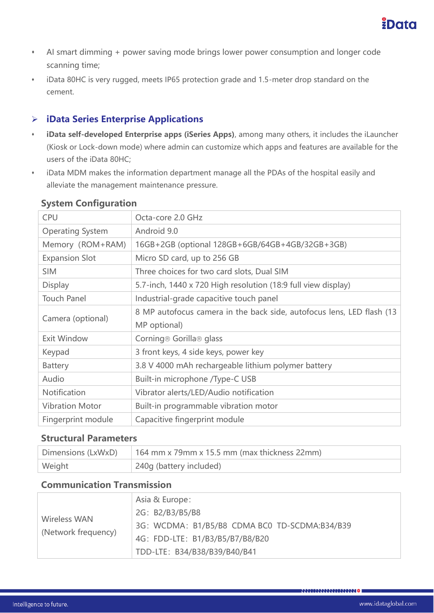- ⬧ AI smart dimming + power saving mode brings lower power consumption and longer code scanning time;
- ⬧ iData 80HC is very rugged, meets IP65 protection grade and 1.5-meter drop standard on the cement.

#### ➢ **iData Series Enterprise Applications**

- ⬧ **iData self-developed Enterprise apps (iSeries Apps)**, among many others, it includes the iLauncher (Kiosk or Lock-down mode) where admin can customize which apps and features are available for the users of the iData 80HC;
- ⬧ iData MDM makes the information department manage all the PDAs of the hospital easily and alleviate the management maintenance pressure.

| <b>CPU</b>              | Octa-core 2.0 GHz                                                      |
|-------------------------|------------------------------------------------------------------------|
| <b>Operating System</b> | Android 9.0                                                            |
| Memory (ROM+RAM)        | 16GB+2GB (optional 128GB+6GB/64GB+4GB/32GB+3GB)                        |
| <b>Expansion Slot</b>   | Micro SD card, up to 256 GB                                            |
| <b>SIM</b>              | Three choices for two card slots, Dual SIM                             |
| <b>Display</b>          | 5.7-inch, 1440 x 720 High resolution (18:9 full view display)          |
| <b>Touch Panel</b>      | Industrial-grade capacitive touch panel                                |
|                         | 8 MP autofocus camera in the back side, autofocus lens, LED flash (13) |
| Camera (optional)       | MP optional)                                                           |
| Exit Window             | Corning® Gorilla® glass                                                |
| Keypad                  | 3 front keys, 4 side keys, power key                                   |
| <b>Battery</b>          | 3.8 V 4000 mAh rechargeable lithium polymer battery                    |
| Audio                   | Built-in microphone /Type-C USB                                        |
| <b>Notification</b>     | Vibrator alerts/LED/Audio notification                                 |
| <b>Vibration Motor</b>  | Built-in programmable vibration motor                                  |
| Fingerprint module      | Capacitive fingerprint module                                          |

#### **System Configuration**

#### **Structural Parameters**

| Dimensions (LxWxD) | $164$ mm x 79mm x 15.5 mm (max thickness 22mm) |
|--------------------|------------------------------------------------|
| Weight             | 240g (battery included)                        |

#### **Communication Transmission**

| Wireless WAN<br>(Network frequency) | Asia & Europe:<br>2G: B2/B3/B5/B8<br>3G: WCDMA: B1/B5/B8 CDMA BC0 TD-SCDMA:B34/B39<br>4G: FDD-LTE: B1/B3/B5/B7/B8/B20 |
|-------------------------------------|-----------------------------------------------------------------------------------------------------------------------|
|                                     | TDD-LTE: B34/B38/B39/B40/B41                                                                                          |
|                                     |                                                                                                                       |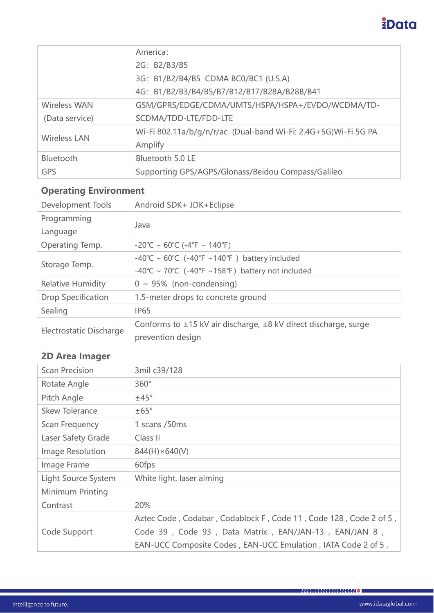## *<u>iData</u>*

|                     | America:                                                       |
|---------------------|----------------------------------------------------------------|
|                     | 2G: B2/B3/B5                                                   |
|                     | 3G: B1/B2/B4/B5 CDMA BC0/BC1 (U.S.A)                           |
|                     | 4G: B1/B2/B3/B4/B5/B7/B12/B17/B28A/B28B/B41                    |
| Wireless WAN        | GSM/GPRS/EDGE/CDMA/UMTS/HSPA/HSPA+/EVDO/WCDMA/TD-              |
| (Data service)      | SCDMA/TDD-LTE/FDD-LTE                                          |
| <b>Wireless LAN</b> | Wi-Fi 802.11a/b/g/n/r/ac (Dual-band Wi-Fi: 2.4G+5G)Wi-Fi 5G PA |
|                     | Amplify                                                        |
| <b>Bluetooth</b>    | Bluetooth 5.0 LE                                               |
| <b>GPS</b>          | Supporting GPS/AGPS/Glonass/Beidou Compass/Galileo             |

### **Operating Environment**

| Development Tools         | Android SDK+ JDK+Eclipse                                        |
|---------------------------|-----------------------------------------------------------------|
| Programming               | Java                                                            |
| Language                  |                                                                 |
| Operating Temp.           | $-20^{\circ}$ C ~ 60°C (-4°F ~ 140°F)                           |
| Storage Temp.             | -40°C ~ 60°C (-40°F ~140°F) battery included                    |
|                           | -40°C ~ 70°C (-40°F ~158°F) battery not included                |
| <b>Relative Humidity</b>  | $0 \sim 95\%$ (non-condensing)                                  |
| <b>Drop Specification</b> | 1.5-meter drops to concrete ground                              |
| Sealing                   | <b>IP65</b>                                                     |
| Electrostatic Discharge   | Conforms to ±15 kV air discharge, ±8 kV direct discharge, surge |
|                           | prevention design                                               |

### **2D Area Imager**

| <b>Scan Precision</b> | 3mil c39/128                                                      |
|-----------------------|-------------------------------------------------------------------|
| Rotate Angle          | $360^\circ$                                                       |
| Pitch Angle           | ±45°                                                              |
| <b>Skew Tolerance</b> | $\pm 65^{\circ}$                                                  |
| <b>Scan Frequency</b> | 1 scans /50ms                                                     |
| Laser Safety Grade    | Class II                                                          |
| Image Resolution      | $844(H) \times 640(V)$                                            |
| Image Frame           | 60fps                                                             |
| Light Source System   | White light, laser aiming                                         |
| Minimum Printing      |                                                                   |
| Contrast              | 20%                                                               |
|                       | Aztec Code, Codabar, Codablock F, Code 11, Code 128, Code 2 of 5, |
| Code Support          | Code 39, Code 93, Data Matrix, EAN/JAN-13, EAN/JAN 8,             |
|                       | EAN-UCC Composite Codes, EAN-UCC Emulation, IATA Code 2 of 5,     |